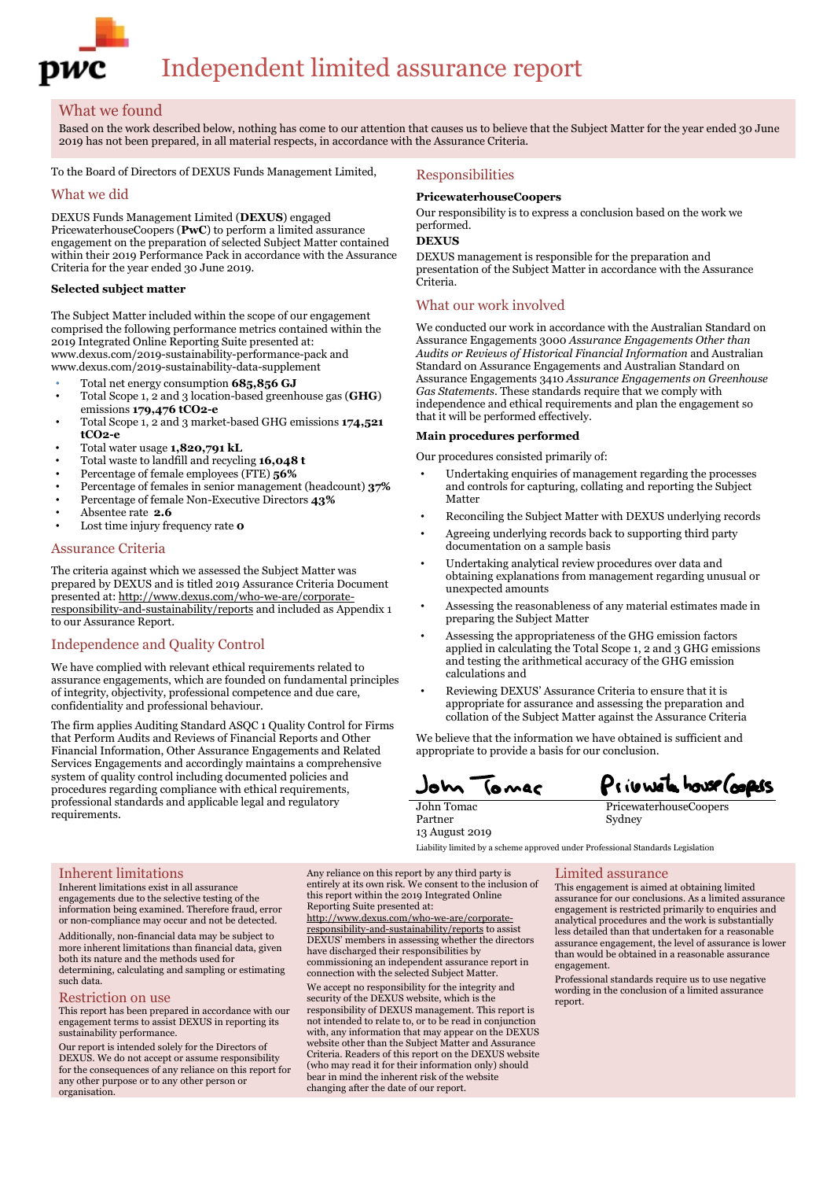

# Independent limited assurance report

### What we found

Based on the work described below, nothing has come to our attention that causes us to believe that the Subject Matter for the year ended 30 June 2019 has not been prepared, in all material respects, in accordance with the Assurance Criteria.

To the Board of Directors of DEXUS Funds Management Limited,

### What we did

DEXUS Funds Management Limited (**DEXUS**) engaged PricewaterhouseCoopers (**PwC**) to perform a limited assurance engagement on the preparation of selected Subject Matter contained within their 2019 Performance Pack in accordance with the Assurance Criteria for the year ended 30 June 2019.

### **Selected subject matter**

The Subject Matter included within the scope of our engagement comprised the following performance metrics contained within the 2019 Integrated Online Reporting Suite presented at: [www.dexus.com/2019-sustainability-performance-pack](http://www.dexus.com/2019-sustainability-performance-pack) and [www.dexus.com/2019-sustainability-data-supplement](http://www.dexus.com/2019-sustainability-data-supplement)

- Total net energy consumption **685,856 GJ**
- Total Scope 1, 2 and 3 location-based greenhouse gas (**GHG**) emissions **179,476 tCO2-e**
- Total Scope 1, 2 and 3 market-based GHG emissions **174,521 tCO2-e**
- Total water usage **1,820,791 kL**
- Total waste to landfill and recycling **16,048 t**
- Percentage of female employees (FTE) **56%**
- Percentage of females in senior management (headcount) **37%**
- Percentage of female Non-Executive Directors **43%**
- Absentee rate **2.6**
- Lost time injury frequency rate **o**

### Assurance Criteria

The criteria against which we assessed the Subject Matter was prepared by DEXUS and is titled 2019 Assurance Criteria Document presented at: http://www.dexus.com/who-we-are/corporateresponsibility-and-sustainability/reports and included as Appendix 1 to our Assurance Report.

### Independence and Quality Control

We have complied with relevant ethical requirements related to assurance engagements, which are founded on fundamental principles of integrity, objectivity, professional competence and due care, confidentiality and professional behaviour.

The firm applies Auditing Standard ASQC 1 Quality Control for Firms that Perform Audits and Reviews of Financial Reports and Other Financial Information, Other Assurance Engagements and Related Services Engagements and accordingly maintains a comprehensive system of quality control including documented policies and procedures regarding compliance with ethical requirements, professional standards and applicable legal and regulatory requirements.

### Responsibilities

### **PricewaterhouseCoopers**

Our responsibility is to express a conclusion based on the work we performed.

**DEXUS**

DEXUS management is responsible for the preparation and presentation of the Subject Matter in accordance with the Assurance Criteria.

### What our work involved

We conducted our work in accordance with the Australian Standard on Assurance Engagements 3000 *Assurance Engagements Other than Audits or Reviews of Historical Financial Information* and Australian Standard on Assurance Engagements and Australian Standard on Assurance Engagements 3410 *Assurance Engagements on Greenhouse Gas Statements*. These standards require that we comply with independence and ethical requirements and plan the engagement so that it will be performed effectively.

### **Main procedures performed**

Our procedures consisted primarily of:

- Undertaking enquiries of management regarding the processes and controls for capturing, collating and reporting the Subject Matter
- Reconciling the Subject Matter with DEXUS underlying records
- Agreeing underlying records back to supporting third party documentation on a sample basis
- Undertaking analytical review procedures over data and obtaining explanations from management regarding unusual or unexpected amounts
- Assessing the reasonableness of any material estimates made in preparing the Subject Matter
- Assessing the appropriateness of the GHG emission factors applied in calculating the Total Scope 1, 2 and 3 GHG emissions and testing the arithmetical accuracy of the GHG emission calculations and
- Reviewing DEXUS' Assurance Criteria to ensure that it is appropriate for assurance and assessing the preparation and collation of the Subject Matter against the Assurance Criteria

We believe that the information we have obtained is sufficient and appropriate to provide a basis for our conclusion.

Privivate house Coopers **AMAC** 

John Tomac Partner 13 August 2019

PricewaterhouseCoopers Sydney

## Liability limited by a scheme approved under Professional Standards Legislation

### Inherent limitations

Inherent limitations exist in all assurance engagements due to the selective testing of the information being examined. Therefore fraud, error or non-compliance may occur and not be detected.

Additionally, non-financial data may be subject to more inherent limitations than financial data, given both its nature and the methods used for determining, calculating and sampling or estimating such data.

### Restriction on use

This report has been prepared in accordance with our engagement terms to assist DEXUS in reporting its sustainability performance.

Our report is intended solely for the Directors of DEXUS. We do not accept or assume responsibility for the consequences of any reliance on this report for any other purpose or to any other person or organisation.

Any reliance on this report by any third party is entirely at its own risk. We consent to the inclusion of this report within the 2019 Integrated Online Reporting Suite presented at: http://www.dexus.com/who-we-are/corporateresponsibility-and-sustainability/reports to assist DEXUS' members in assessing whether the directors have discharged their responsibilities by commissioning an independent assurance report in connection with the selected Subject Matter. We accept no responsibility for the integrity and security of the DEXUS website, which is the responsibility of DEXUS management. This report is not intended to relate to, or to be read in conjunction with, any information that may appear on the DEXUS website other than the Subject Matter and Assurance Criteria. Readers of this report on the DEXUS website (who may read it for their information only) should bear in mind the inherent risk of the website changing after the date of our report.

### Limited assurance

This engagement is aimed at obtaining limited assurance for our conclusions. As a limited assurance engagement is restricted primarily to enquiries and analytical procedures and the work is substantially less detailed than that undertaken for a reasonable assurance engagement, the level of assurance is lower than would be obtained in a reasonable assurance engagement.

Professional standards require us to use negative wording in the conclusion of a limited assurance report.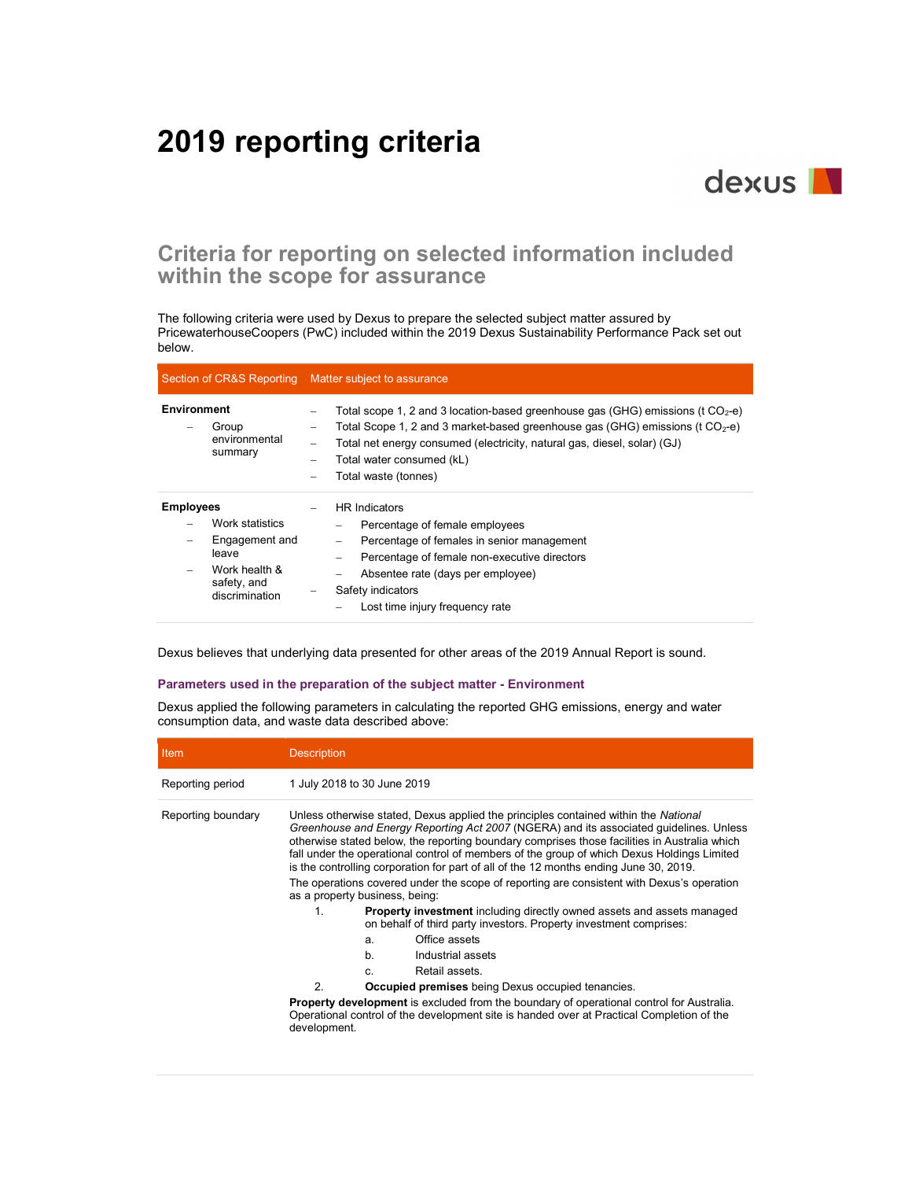# 2019 reporting criteria



## Criteria for reporting on selected information included within the scope for assurance

The following criteria were used by Dexus to prepare the selected subject matter assured by PricewaterhouseCoopers (PwC) included within the 2019 Dexus Sustainability Performance Pack set out below.

|                                                                                                                                              | Section of CR&S Reporting Matter subject to assurance                                                                                                                                                                                                                                                                     |  |  |
|----------------------------------------------------------------------------------------------------------------------------------------------|---------------------------------------------------------------------------------------------------------------------------------------------------------------------------------------------------------------------------------------------------------------------------------------------------------------------------|--|--|
| <b>Environment</b><br>Group<br>environmental<br>summary                                                                                      | Total scope 1, 2 and 3 location-based greenhouse gas (GHG) emissions (t $CO2$ -e)<br>-<br>Total Scope 1, 2 and 3 market-based greenhouse gas (GHG) emissions (t $CO2$ -e)<br>-<br>Total net energy consumed (electricity, natural gas, diesel, solar) (GJ)<br>-<br>Total water consumed (kL)<br>Total waste (tonnes)<br>- |  |  |
| <b>Employees</b><br>Work statistics<br>Engagement and<br>$\overline{\phantom{0}}$<br>leave<br>Work health &<br>safety, and<br>discrimination | <b>HR</b> Indicators<br>Percentage of female employees<br>Percentage of females in senior management<br>-<br>Percentage of female non-executive directors<br>Absentee rate (days per employee)<br>Safety indicators<br>Lost time injury frequency rate                                                                    |  |  |

Dexus believes that underlying data presented for other areas of the 2019 Annual Report is sound.

### Parameters used in the preparation of the subject matter - Environment

Dexus applied the following parameters in calculating the reported GHG emissions, energy and water consumption data, and waste data described above:

| <b>Item</b>        | <b>Description</b>                                                                                                                                                                                                                                                                                                                                                                                                                                                                                                                                                                                                                                                                                                                                              |                                                                                                                                                                                              |
|--------------------|-----------------------------------------------------------------------------------------------------------------------------------------------------------------------------------------------------------------------------------------------------------------------------------------------------------------------------------------------------------------------------------------------------------------------------------------------------------------------------------------------------------------------------------------------------------------------------------------------------------------------------------------------------------------------------------------------------------------------------------------------------------------|----------------------------------------------------------------------------------------------------------------------------------------------------------------------------------------------|
| Reporting period   |                                                                                                                                                                                                                                                                                                                                                                                                                                                                                                                                                                                                                                                                                                                                                                 | 1 July 2018 to 30 June 2019                                                                                                                                                                  |
| Reporting boundary | Unless otherwise stated, Dexus applied the principles contained within the National<br>Greenhouse and Energy Reporting Act 2007 (NGERA) and its associated quidelines. Unless<br>otherwise stated below, the reporting boundary comprises those facilities in Australia which<br>fall under the operational control of members of the group of which Dexus Holdings Limited<br>is the controlling corporation for part of all of the 12 months ending June 30, 2019.<br>The operations covered under the scope of reporting are consistent with Dexus's operation<br>as a property business, being:<br>1<br><b>Property investment</b> including directly owned assets and assets managed<br>on behalf of third party investors. Property investment comprises: |                                                                                                                                                                                              |
|                    |                                                                                                                                                                                                                                                                                                                                                                                                                                                                                                                                                                                                                                                                                                                                                                 | Office assets<br>a.                                                                                                                                                                          |
|                    |                                                                                                                                                                                                                                                                                                                                                                                                                                                                                                                                                                                                                                                                                                                                                                 | b.<br>Industrial assets                                                                                                                                                                      |
|                    |                                                                                                                                                                                                                                                                                                                                                                                                                                                                                                                                                                                                                                                                                                                                                                 | Retail assets.<br>$\mathbf{c}$                                                                                                                                                               |
|                    | $\mathcal{P}$                                                                                                                                                                                                                                                                                                                                                                                                                                                                                                                                                                                                                                                                                                                                                   | <b>Occupied premises</b> being Dexus occupied tenancies.                                                                                                                                     |
|                    | development.                                                                                                                                                                                                                                                                                                                                                                                                                                                                                                                                                                                                                                                                                                                                                    | <b>Property development</b> is excluded from the boundary of operational control for Australia.<br>Operational control of the development site is handed over at Practical Completion of the |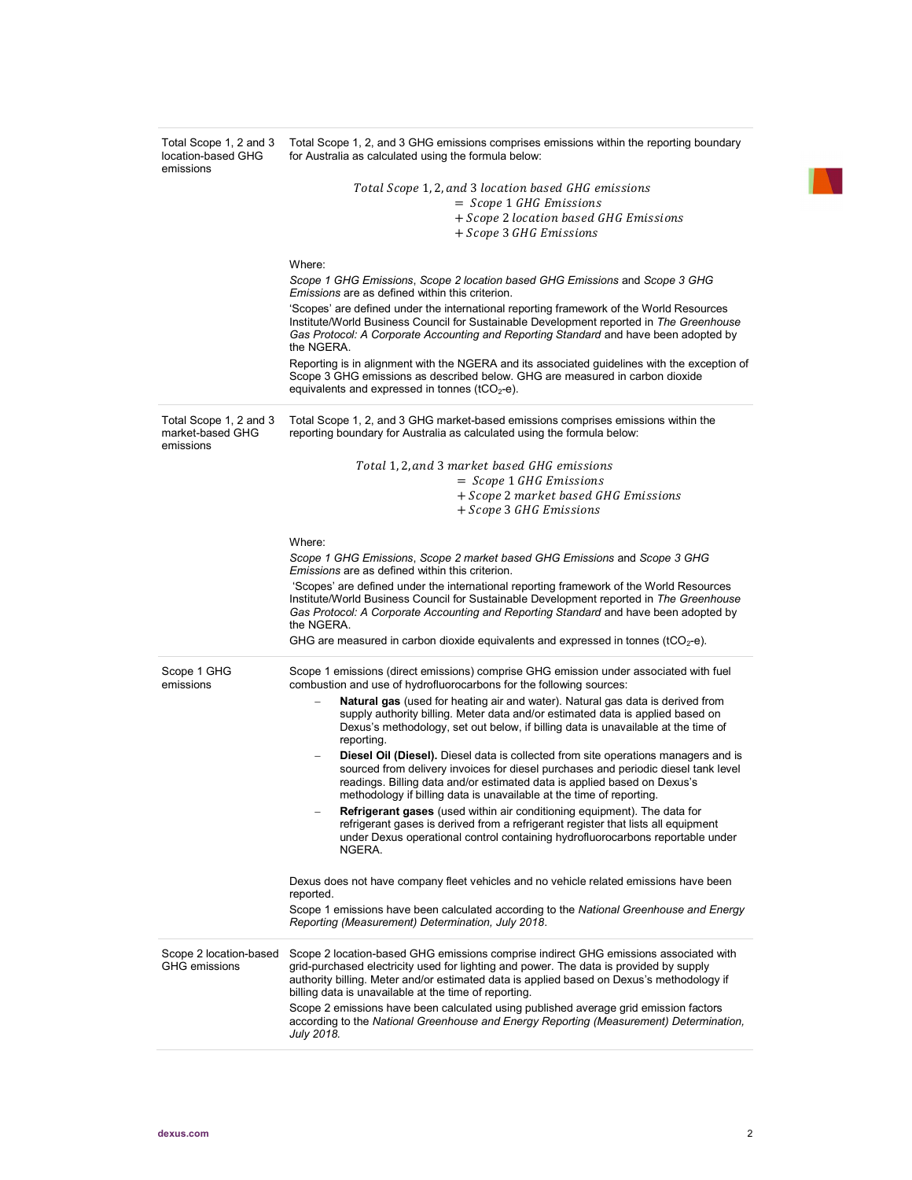| Total Scope 1, 2 and 3<br>location-based GHG<br>emissions | Total Scope 1, 2, and 3 GHG emissions comprises emissions within the reporting boundary<br>for Australia as calculated using the formula below:                                                                                                                                                                                      |
|-----------------------------------------------------------|--------------------------------------------------------------------------------------------------------------------------------------------------------------------------------------------------------------------------------------------------------------------------------------------------------------------------------------|
|                                                           | Total Scope 1, 2, and 3 location based GHG emissions                                                                                                                                                                                                                                                                                 |
|                                                           | $=$ Scope 1 GHG Emissions                                                                                                                                                                                                                                                                                                            |
|                                                           | + Scope 2 location based GHG Emissions                                                                                                                                                                                                                                                                                               |
|                                                           | + Scope 3 GHG Emissions                                                                                                                                                                                                                                                                                                              |
|                                                           | Where:                                                                                                                                                                                                                                                                                                                               |
|                                                           | Scope 1 GHG Emissions, Scope 2 location based GHG Emissions and Scope 3 GHG<br><i>Emissions</i> are as defined within this criterion.                                                                                                                                                                                                |
|                                                           | 'Scopes' are defined under the international reporting framework of the World Resources<br>Institute/World Business Council for Sustainable Development reported in The Greenhouse<br>Gas Protocol: A Corporate Accounting and Reporting Standard and have been adopted by<br>the NGERA.                                             |
|                                                           | Reporting is in alignment with the NGERA and its associated guidelines with the exception of<br>Scope 3 GHG emissions as described below. GHG are measured in carbon dioxide<br>equivalents and expressed in tonnes ( $tCO2$ -e).                                                                                                    |
| Total Scope 1, 2 and 3<br>market-based GHG<br>emissions   | Total Scope 1, 2, and 3 GHG market-based emissions comprises emissions within the<br>reporting boundary for Australia as calculated using the formula below:                                                                                                                                                                         |
|                                                           | Total 1, 2, and 3 market based GHG emissions                                                                                                                                                                                                                                                                                         |
|                                                           | $=$ Scope 1 GHG Emissions                                                                                                                                                                                                                                                                                                            |
|                                                           | + Scope 2 market based GHG Emissions                                                                                                                                                                                                                                                                                                 |
|                                                           | + Scope 3 GHG Emissions                                                                                                                                                                                                                                                                                                              |
|                                                           | Where:                                                                                                                                                                                                                                                                                                                               |
|                                                           | Scope 1 GHG Emissions, Scope 2 market based GHG Emissions and Scope 3 GHG<br><i>Emissions</i> are as defined within this criterion.                                                                                                                                                                                                  |
|                                                           | 'Scopes' are defined under the international reporting framework of the World Resources<br>Institute/World Business Council for Sustainable Development reported in The Greenhouse<br>Gas Protocol: A Corporate Accounting and Reporting Standard and have been adopted by<br>the NGERA.                                             |
|                                                           | GHG are measured in carbon dioxide equivalents and expressed in tonnes (tCO <sub>2</sub> -e).                                                                                                                                                                                                                                        |
| Scope 1 GHG<br>emissions                                  | Scope 1 emissions (direct emissions) comprise GHG emission under associated with fuel<br>combustion and use of hydrofluorocarbons for the following sources:                                                                                                                                                                         |
|                                                           | <b>Natural gas</b> (used for heating air and water). Natural gas data is derived from<br>supply authority billing. Meter data and/or estimated data is applied based on<br>Dexus's methodology, set out below, if billing data is unavailable at the time of<br>reporting.                                                           |
|                                                           | <b>Diesel Oil (Diesel).</b> Diesel data is collected from site operations managers and is<br>sourced from delivery invoices for diesel purchases and periodic diesel tank level<br>readings. Billing data and/or estimated data is applied based on Dexus's<br>methodology if billing data is unavailable at the time of reporting.  |
|                                                           | Refrigerant gases (used within air conditioning equipment). The data for<br>refrigerant gases is derived from a refrigerant register that lists all equipment<br>under Dexus operational control containing hydrofluorocarbons reportable under<br>NGERA.                                                                            |
|                                                           | Dexus does not have company fleet vehicles and no vehicle related emissions have been<br>reported.                                                                                                                                                                                                                                   |
|                                                           | Scope 1 emissions have been calculated according to the National Greenhouse and Energy<br>Reporting (Measurement) Determination, July 2018.                                                                                                                                                                                          |
| Scope 2 location-based<br><b>GHG</b> emissions            | Scope 2 location-based GHG emissions comprise indirect GHG emissions associated with<br>grid-purchased electricity used for lighting and power. The data is provided by supply<br>authority billing. Meter and/or estimated data is applied based on Dexus's methodology if<br>billing data is unavailable at the time of reporting. |
|                                                           | Scope 2 emissions have been calculated using published average grid emission factors<br>according to the National Greenhouse and Energy Reporting (Measurement) Determination,<br>July 2018.                                                                                                                                         |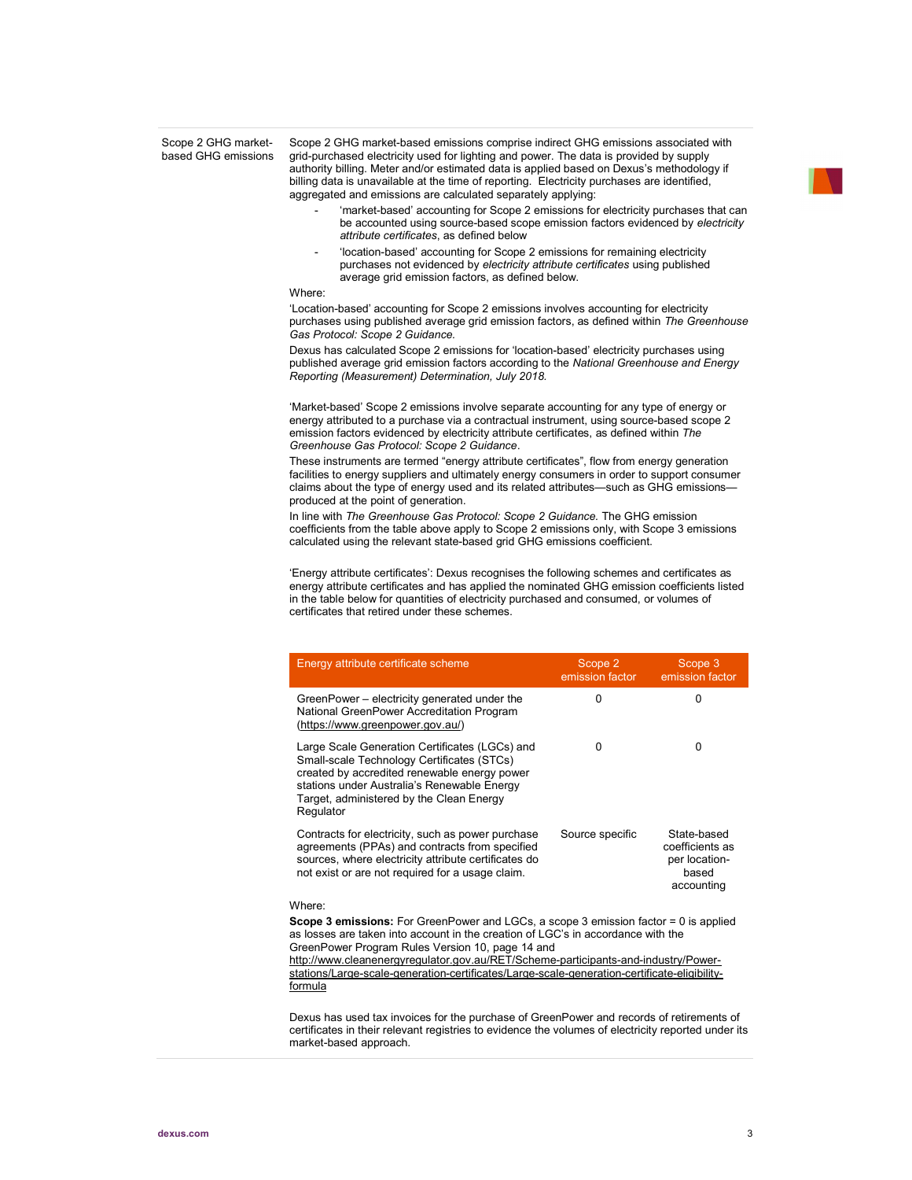Scope 2 GHG marketbased GHG emissions Scope 2 GHG market-based emissions comprise indirect GHG emissions associated with grid-purchased electricity used for lighting and power. The data is provided by supply authority billing. Meter and/or estimated data is applied based on Dexus's methodology if billing data is unavailable at the time of reporting. Electricity purchases are identified, aggregated and emissions are calculated separately applying:

- 'market-based' accounting for Scope 2 emissions for electricity purchases that can be accounted using source-based scope emission factors evidenced by electricity attribute certificates, as defined below
- 'location-based' accounting for Scope 2 emissions for remaining electricity purchases not evidenced by electricity attribute certificates using published average grid emission factors, as defined below.

#### Where:

'Location-based' accounting for Scope 2 emissions involves accounting for electricity purchases using published average grid emission factors, as defined within The Greenhouse Gas Protocol: Scope 2 Guidance.

Dexus has calculated Scope 2 emissions for 'location-based' electricity purchases using published average grid emission factors according to the National Greenhouse and Energy Reporting (Measurement) Determination, July 2018.

'Market-based' Scope 2 emissions involve separate accounting for any type of energy or energy attributed to a purchase via a contractual instrument, using source-based scope 2 emission factors evidenced by electricity attribute certificates, as defined within The Greenhouse Gas Protocol: Scope 2 Guidance.

These instruments are termed "energy attribute certificates", flow from energy generation facilities to energy suppliers and ultimately energy consumers in order to support consumer claims about the type of energy used and its related attributes—such as GHG emissions produced at the point of generation.

In line with The Greenhouse Gas Protocol: Scope 2 Guidance. The GHG emission coefficients from the table above apply to Scope 2 emissions only, with Scope 3 emissions calculated using the relevant state-based grid GHG emissions coefficient.

'Energy attribute certificates': Dexus recognises the following schemes and certificates as energy attribute certificates and has applied the nominated GHG emission coefficients listed in the table below for quantities of electricity purchased and consumed, or volumes of certificates that retired under these schemes.

| Energy attribute certificate scheme                                                                                                                                                                                                                  | Scope 2<br>emission factor | Scope 3<br>emission factor                                             |
|------------------------------------------------------------------------------------------------------------------------------------------------------------------------------------------------------------------------------------------------------|----------------------------|------------------------------------------------------------------------|
| GreenPower - electricity generated under the<br>National GreenPower Accreditation Program<br>(https://www.greenpower.gov.au/)                                                                                                                        | 0                          | <sup>0</sup>                                                           |
| Large Scale Generation Certificates (LGCs) and<br>Small-scale Technology Certificates (STCs)<br>created by accredited renewable energy power<br>stations under Australia's Renewable Energy<br>Target, administered by the Clean Energy<br>Regulator | 0                          | <sup>0</sup>                                                           |
| Contracts for electricity, such as power purchase<br>agreements (PPAs) and contracts from specified<br>sources, where electricity attribute certificates do<br>not exist or are not required for a usage claim.                                      | Source specific            | State-based<br>coefficients as<br>per location-<br>based<br>accounting |
| Where:                                                                                                                                                                                                                                               |                            |                                                                        |
| <b>Scope 3 emissions:</b> For GreenPower and LGCs, a scope 3 emission factor $= 0$ is applied<br>as losses are taken into account in the creation of LGC's in accordance with the                                                                    |                            |                                                                        |

in accordance with the GreenPower Program Rules Version 10, page 14 and http://www.cleanenergyregulator.gov.au/RET/Scheme-participants-and-industry/Powerstations/Large-scale-generation-certificates/Large-scale-generation-certificate-eligibilityformula

Dexus has used tax invoices for the purchase of GreenPower and records of retirements of certificates in their relevant registries to evidence the volumes of electricity reported under its market-based approach.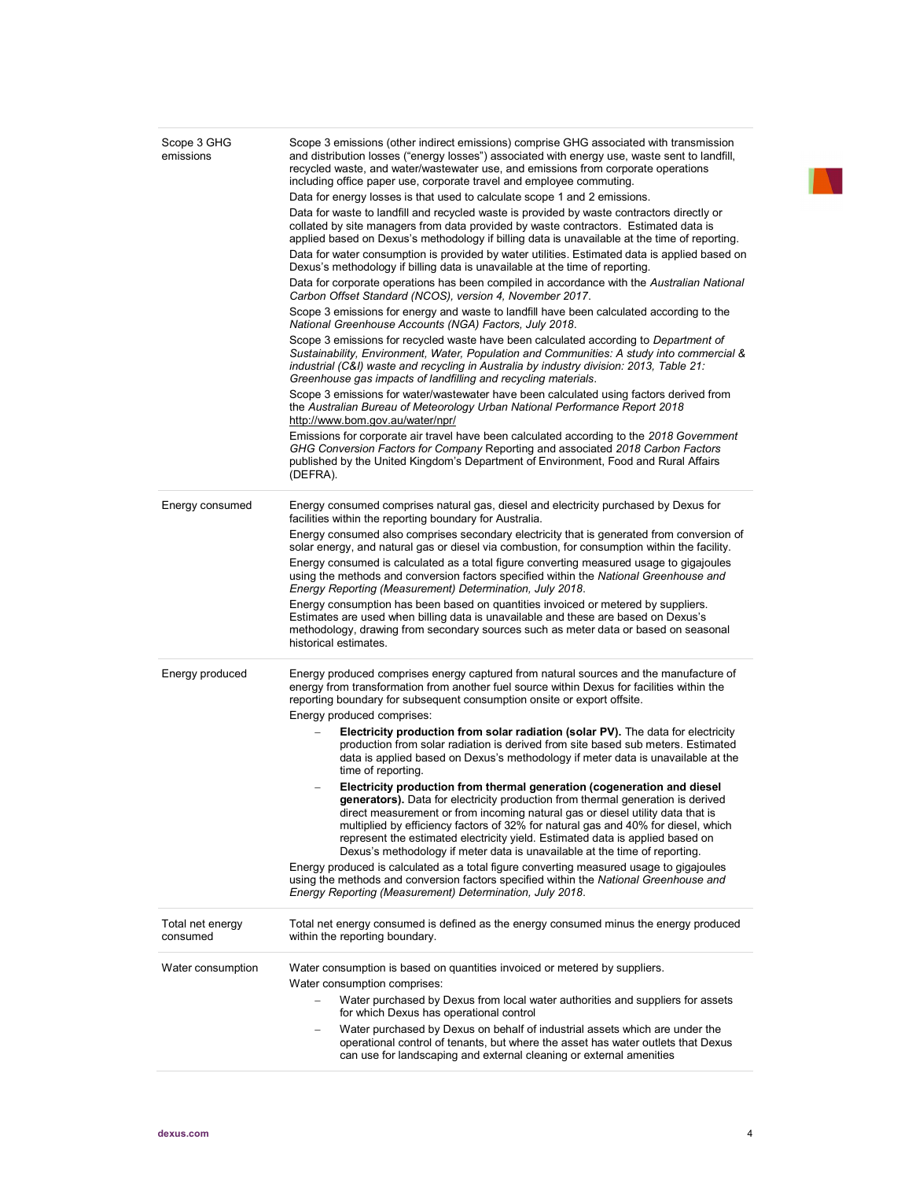| Scope 3 GHG<br>emissions     | Scope 3 emissions (other indirect emissions) comprise GHG associated with transmission<br>and distribution losses ("energy losses") associated with energy use, waste sent to landfill,<br>recycled waste, and water/wastewater use, and emissions from corporate operations<br>including office paper use, corporate travel and employee commuting.<br>Data for energy losses is that used to calculate scope 1 and 2 emissions.<br>Data for waste to landfill and recycled waste is provided by waste contractors directly or<br>collated by site managers from data provided by waste contractors. Estimated data is<br>applied based on Dexus's methodology if billing data is unavailable at the time of reporting.<br>Data for water consumption is provided by water utilities. Estimated data is applied based on<br>Dexus's methodology if billing data is unavailable at the time of reporting.<br>Data for corporate operations has been compiled in accordance with the Australian National<br>Carbon Offset Standard (NCOS), version 4, November 2017.<br>Scope 3 emissions for energy and waste to landfill have been calculated according to the<br>National Greenhouse Accounts (NGA) Factors, July 2018.<br>Scope 3 emissions for recycled waste have been calculated according to Department of<br>Sustainability, Environment, Water, Population and Communities: A study into commercial &<br>industrial (C&I) waste and recycling in Australia by industry division: 2013, Table 21:<br>Greenhouse gas impacts of landfilling and recycling materials. |
|------------------------------|-----------------------------------------------------------------------------------------------------------------------------------------------------------------------------------------------------------------------------------------------------------------------------------------------------------------------------------------------------------------------------------------------------------------------------------------------------------------------------------------------------------------------------------------------------------------------------------------------------------------------------------------------------------------------------------------------------------------------------------------------------------------------------------------------------------------------------------------------------------------------------------------------------------------------------------------------------------------------------------------------------------------------------------------------------------------------------------------------------------------------------------------------------------------------------------------------------------------------------------------------------------------------------------------------------------------------------------------------------------------------------------------------------------------------------------------------------------------------------------------------------------------------------------------------------------------------------|
|                              | Scope 3 emissions for water/wastewater have been calculated using factors derived from<br>the Australian Bureau of Meteorology Urban National Performance Report 2018<br>http://www.bom.gov.au/water/npr/<br>Emissions for corporate air travel have been calculated according to the 2018 Government<br>GHG Conversion Factors for Company Reporting and associated 2018 Carbon Factors                                                                                                                                                                                                                                                                                                                                                                                                                                                                                                                                                                                                                                                                                                                                                                                                                                                                                                                                                                                                                                                                                                                                                                                    |
|                              | published by the United Kingdom's Department of Environment, Food and Rural Affairs<br>(DEFRA).                                                                                                                                                                                                                                                                                                                                                                                                                                                                                                                                                                                                                                                                                                                                                                                                                                                                                                                                                                                                                                                                                                                                                                                                                                                                                                                                                                                                                                                                             |
| Energy consumed              | Energy consumed comprises natural gas, diesel and electricity purchased by Dexus for<br>facilities within the reporting boundary for Australia.<br>Energy consumed also comprises secondary electricity that is generated from conversion of<br>solar energy, and natural gas or diesel via combustion, for consumption within the facility.<br>Energy consumed is calculated as a total figure converting measured usage to gigajoules<br>using the methods and conversion factors specified within the National Greenhouse and<br>Energy Reporting (Measurement) Determination, July 2018.<br>Energy consumption has been based on quantities invoiced or metered by suppliers.<br>Estimates are used when billing data is unavailable and these are based on Dexus's<br>methodology, drawing from secondary sources such as meter data or based on seasonal<br>historical estimates.                                                                                                                                                                                                                                                                                                                                                                                                                                                                                                                                                                                                                                                                                     |
| Energy produced              | Energy produced comprises energy captured from natural sources and the manufacture of<br>energy from transformation from another fuel source within Dexus for facilities within the<br>reporting boundary for subsequent consumption onsite or export offsite.<br>Energy produced comprises:                                                                                                                                                                                                                                                                                                                                                                                                                                                                                                                                                                                                                                                                                                                                                                                                                                                                                                                                                                                                                                                                                                                                                                                                                                                                                |
|                              | <b>Electricity production from solar radiation (solar PV).</b> The data for electricity<br>production from solar radiation is derived from site based sub meters. Estimated<br>data is applied based on Dexus's methodology if meter data is unavailable at the<br>time of reporting.                                                                                                                                                                                                                                                                                                                                                                                                                                                                                                                                                                                                                                                                                                                                                                                                                                                                                                                                                                                                                                                                                                                                                                                                                                                                                       |
|                              | Electricity production from thermal generation (cogeneration and diesel<br>generators). Data for electricity production from thermal generation is derived<br>direct measurement or from incoming natural gas or diesel utility data that is<br>multiplied by efficiency factors of 32% for natural gas and 40% for diesel, which<br>represent the estimated electricity yield. Estimated data is applied based on<br>Dexus's methodology if meter data is unavailable at the time of reporting.                                                                                                                                                                                                                                                                                                                                                                                                                                                                                                                                                                                                                                                                                                                                                                                                                                                                                                                                                                                                                                                                            |
|                              | Energy produced is calculated as a total figure converting measured usage to gigajoules<br>using the methods and conversion factors specified within the National Greenhouse and<br>Energy Reporting (Measurement) Determination, July 2018.                                                                                                                                                                                                                                                                                                                                                                                                                                                                                                                                                                                                                                                                                                                                                                                                                                                                                                                                                                                                                                                                                                                                                                                                                                                                                                                                |
| Total net energy<br>consumed | Total net energy consumed is defined as the energy consumed minus the energy produced<br>within the reporting boundary.                                                                                                                                                                                                                                                                                                                                                                                                                                                                                                                                                                                                                                                                                                                                                                                                                                                                                                                                                                                                                                                                                                                                                                                                                                                                                                                                                                                                                                                     |
| Water consumption            | Water consumption is based on quantities invoiced or metered by suppliers.<br>Water consumption comprises:                                                                                                                                                                                                                                                                                                                                                                                                                                                                                                                                                                                                                                                                                                                                                                                                                                                                                                                                                                                                                                                                                                                                                                                                                                                                                                                                                                                                                                                                  |
|                              | Water purchased by Dexus from local water authorities and suppliers for assets<br>for which Dexus has operational control                                                                                                                                                                                                                                                                                                                                                                                                                                                                                                                                                                                                                                                                                                                                                                                                                                                                                                                                                                                                                                                                                                                                                                                                                                                                                                                                                                                                                                                   |
|                              | Water purchased by Dexus on behalf of industrial assets which are under the<br>operational control of tenants, but where the asset has water outlets that Dexus<br>can use for landscaping and external cleaning or external amenities                                                                                                                                                                                                                                                                                                                                                                                                                                                                                                                                                                                                                                                                                                                                                                                                                                                                                                                                                                                                                                                                                                                                                                                                                                                                                                                                      |

IN.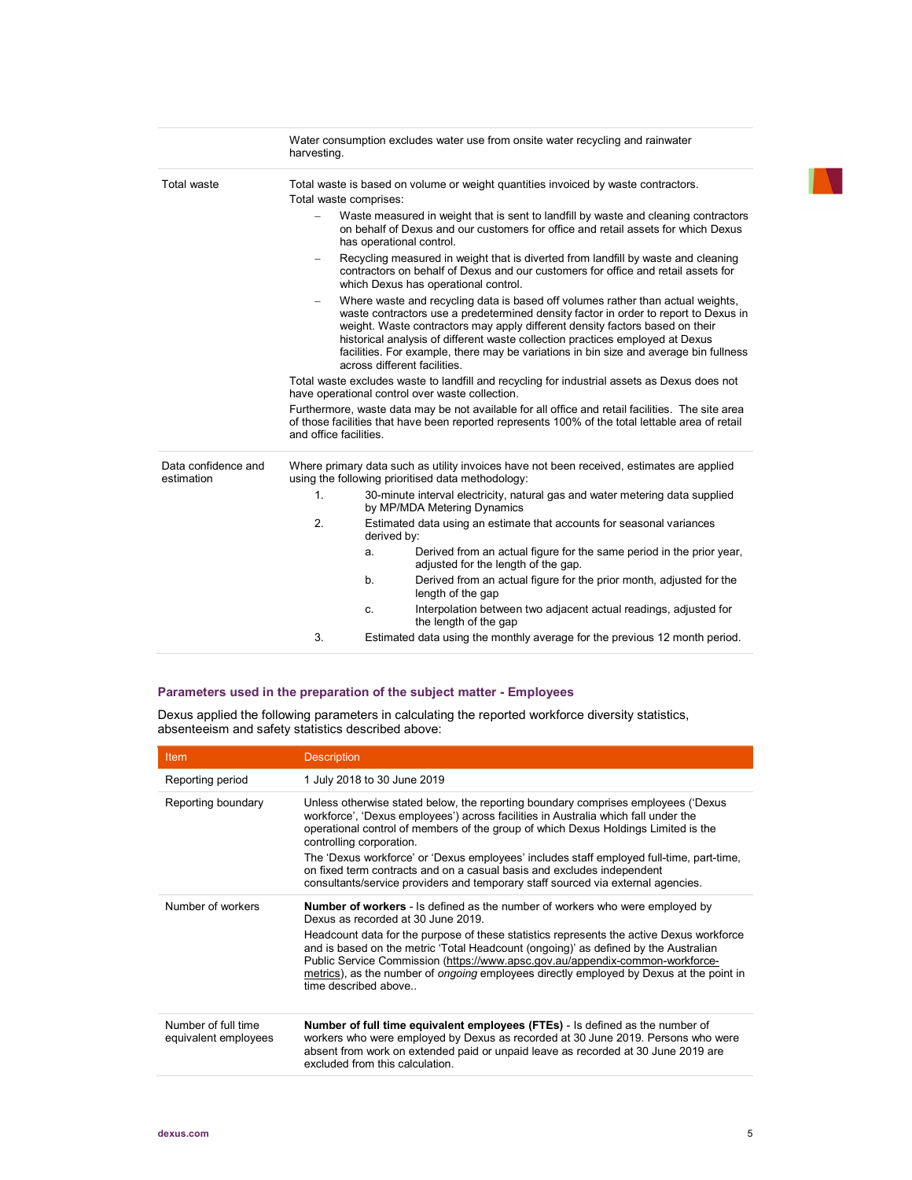|                                   | harvesting.                                                                                                                                     | Water consumption excludes water use from onsite water recycling and rainwater                                                                                                                                                                                                                                                                                                                                                                                   |  |  |
|-----------------------------------|-------------------------------------------------------------------------------------------------------------------------------------------------|------------------------------------------------------------------------------------------------------------------------------------------------------------------------------------------------------------------------------------------------------------------------------------------------------------------------------------------------------------------------------------------------------------------------------------------------------------------|--|--|
| <b>Total waste</b>                | Total waste comprises:                                                                                                                          | Total waste is based on volume or weight quantities invoiced by waste contractors.                                                                                                                                                                                                                                                                                                                                                                               |  |  |
|                                   |                                                                                                                                                 | Waste measured in weight that is sent to landfill by waste and cleaning contractors<br>on behalf of Dexus and our customers for office and retail assets for which Dexus<br>has operational control.                                                                                                                                                                                                                                                             |  |  |
|                                   | $\qquad \qquad -$                                                                                                                               | Recycling measured in weight that is diverted from landfill by waste and cleaning<br>contractors on behalf of Dexus and our customers for office and retail assets for<br>which Dexus has operational control.                                                                                                                                                                                                                                                   |  |  |
|                                   |                                                                                                                                                 | Where waste and recycling data is based off volumes rather than actual weights,<br>waste contractors use a predetermined density factor in order to report to Dexus in<br>weight. Waste contractors may apply different density factors based on their<br>historical analysis of different waste collection practices employed at Dexus<br>facilities. For example, there may be variations in bin size and average bin fullness<br>across different facilities. |  |  |
|                                   | Total waste excludes waste to landfill and recycling for industrial assets as Dexus does not<br>have operational control over waste collection. |                                                                                                                                                                                                                                                                                                                                                                                                                                                                  |  |  |
|                                   | and office facilities.                                                                                                                          | Furthermore, waste data may be not available for all office and retail facilities. The site area<br>of those facilities that have been reported represents 100% of the total lettable area of retail                                                                                                                                                                                                                                                             |  |  |
| Data confidence and<br>estimation |                                                                                                                                                 | Where primary data such as utility invoices have not been received, estimates are applied<br>using the following prioritised data methodology:                                                                                                                                                                                                                                                                                                                   |  |  |
|                                   | $\mathbf{1}$ .                                                                                                                                  | 30-minute interval electricity, natural gas and water metering data supplied<br>by MP/MDA Metering Dynamics                                                                                                                                                                                                                                                                                                                                                      |  |  |
|                                   | 2.                                                                                                                                              | Estimated data using an estimate that accounts for seasonal variances<br>derived by:                                                                                                                                                                                                                                                                                                                                                                             |  |  |
|                                   |                                                                                                                                                 | Derived from an actual figure for the same period in the prior year,<br>a.<br>adjusted for the length of the gap.                                                                                                                                                                                                                                                                                                                                                |  |  |
|                                   |                                                                                                                                                 | Derived from an actual figure for the prior month, adjusted for the<br>b.<br>length of the gap                                                                                                                                                                                                                                                                                                                                                                   |  |  |
|                                   |                                                                                                                                                 | Interpolation between two adjacent actual readings, adjusted for<br>c.<br>the length of the gap                                                                                                                                                                                                                                                                                                                                                                  |  |  |
|                                   | 3.                                                                                                                                              | Estimated data using the monthly average for the previous 12 month period.                                                                                                                                                                                                                                                                                                                                                                                       |  |  |

### Parameters used in the preparation of the subject matter - Employees

Dexus applied the following parameters in calculating the reported workforce diversity statistics, absenteeism and safety statistics described above:

| <b>Item</b>                                 | <b>Description</b>                                                                                                                                                                                                                                                                                                                                                                                                                                                                                                                                  |
|---------------------------------------------|-----------------------------------------------------------------------------------------------------------------------------------------------------------------------------------------------------------------------------------------------------------------------------------------------------------------------------------------------------------------------------------------------------------------------------------------------------------------------------------------------------------------------------------------------------|
| Reporting period                            | 1 July 2018 to 30 June 2019                                                                                                                                                                                                                                                                                                                                                                                                                                                                                                                         |
| Reporting boundary                          | Unless otherwise stated below, the reporting boundary comprises employees ('Dexus<br>workforce', 'Dexus employees') across facilities in Australia which fall under the<br>operational control of members of the group of which Dexus Holdings Limited is the<br>controlling corporation.<br>The 'Dexus workforce' or 'Dexus employees' includes staff employed full-time, part-time,<br>on fixed term contracts and on a casual basis and excludes independent<br>consultants/service providers and temporary staff sourced via external agencies. |
|                                             |                                                                                                                                                                                                                                                                                                                                                                                                                                                                                                                                                     |
| Number of workers                           | <b>Number of workers</b> - Is defined as the number of workers who were employed by<br>Dexus as recorded at 30 June 2019                                                                                                                                                                                                                                                                                                                                                                                                                            |
|                                             | Headcount data for the purpose of these statistics represents the active Dexus workforce<br>and is based on the metric 'Total Headcount (ongoing)' as defined by the Australian<br>Public Service Commission (https://www.apsc.gov.au/appendix-common-workforce-<br>metrics), as the number of <i>ongoing</i> employees directly employed by Dexus at the point in<br>time described above                                                                                                                                                          |
| Number of full time<br>equivalent employees | <b>Number of full time equivalent employees (FTEs)</b> - Is defined as the number of<br>workers who were employed by Dexus as recorded at 30 June 2019. Persons who were<br>absent from work on extended paid or unpaid leave as recorded at 30 June 2019 are<br>excluded from this calculation.                                                                                                                                                                                                                                                    |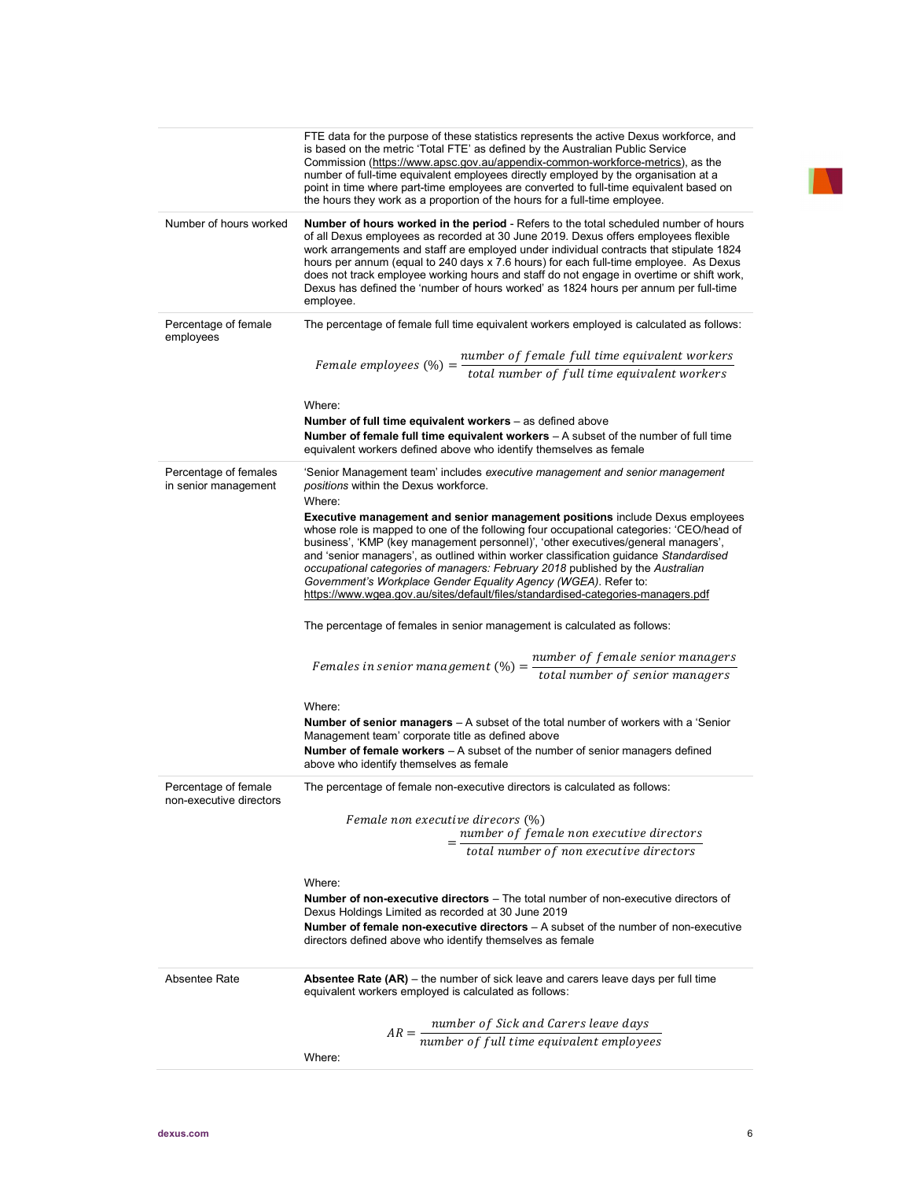|                                                 | $AR = \frac{number\ of\ Sick\ and\ Carers\ leave\ days}{number\ of\ full\ time\ equivalent\ employees}$<br>Where:                                                                                                                                                                                                                                                                                                                                                                                                                                                                                               |
|-------------------------------------------------|-----------------------------------------------------------------------------------------------------------------------------------------------------------------------------------------------------------------------------------------------------------------------------------------------------------------------------------------------------------------------------------------------------------------------------------------------------------------------------------------------------------------------------------------------------------------------------------------------------------------|
| Absentee Rate                                   | <b>Absentee Rate (AR)</b> – the number of sick leave and carers leave days per full time<br>equivalent workers employed is calculated as follows:                                                                                                                                                                                                                                                                                                                                                                                                                                                               |
|                                                 | Where:<br><b>Number of non-executive directors</b> – The total number of non-executive directors of<br>Dexus Holdings Limited as recorded at 30 June 2019<br><b>Number of female non-executive directors</b> $-$ A subset of the number of non-executive<br>directors defined above who identify themselves as female                                                                                                                                                                                                                                                                                           |
|                                                 | number of female non executive directors<br>total number of non executive directors                                                                                                                                                                                                                                                                                                                                                                                                                                                                                                                             |
| Percentage of female<br>non-executive directors | The percentage of female non-executive directors is calculated as follows:<br>Female non executive direcors (%)                                                                                                                                                                                                                                                                                                                                                                                                                                                                                                 |
|                                                 | Where:<br><b>Number of senior managers</b> - A subset of the total number of workers with a 'Senior<br>Management team' corporate title as defined above<br>Number of female workers - A subset of the number of senior managers defined<br>above who identify themselves as female                                                                                                                                                                                                                                                                                                                             |
|                                                 | Females in senior management $(\%) = \frac{number\ of\ female\ senior\ managers}{total\ number\ of\ senior\ managers}$                                                                                                                                                                                                                                                                                                                                                                                                                                                                                          |
|                                                 | The percentage of females in senior management is calculated as follows:                                                                                                                                                                                                                                                                                                                                                                                                                                                                                                                                        |
|                                                 | Where:<br><b>Executive management and senior management positions include Dexus employees</b><br>whose role is mapped to one of the following four occupational categories: 'CEO/head of<br>business', 'KMP (key management personnel)', 'other executives/general managers',<br>and 'senior managers', as outlined within worker classification guidance Standardised<br>occupational categories of managers: February 2018 published by the Australian<br>Government's Workplace Gender Equality Agency (WGEA). Refer to:<br>https://www.wgea.gov.au/sites/default/files/standardised-categories-managers.pdf |
| Percentage of females<br>in senior management   | 'Senior Management team' includes <i>executive management and senior management</i><br>positions within the Dexus workforce.                                                                                                                                                                                                                                                                                                                                                                                                                                                                                    |
|                                                 | Where:<br>Number of full time equivalent workers - as defined above<br>Number of female full time equivalent workers $-A$ subset of the number of full time<br>equivalent workers defined above who identify themselves as female                                                                                                                                                                                                                                                                                                                                                                               |
| employees                                       | Female employees $(\%) = \frac{number\ of\ female\ full\ time\ equivalent\ workers}{total\ number\ of\ full\ time\ equivalent\ workers}$                                                                                                                                                                                                                                                                                                                                                                                                                                                                        |
| Percentage of female                            | The percentage of female full time equivalent workers employed is calculated as follows:                                                                                                                                                                                                                                                                                                                                                                                                                                                                                                                        |
| Number of hours worked                          | Number of hours worked in the period - Refers to the total scheduled number of hours<br>of all Dexus employees as recorded at 30 June 2019. Dexus offers employees flexible<br>work arrangements and staff are employed under individual contracts that stipulate 1824<br>hours per annum (equal to 240 days x 7.6 hours) for each full-time employee. As Dexus<br>does not track employee working hours and staff do not engage in overtime or shift work,<br>Dexus has defined the 'number of hours worked' as 1824 hours per annum per full-time<br>employee.                                                |
|                                                 | FTE data for the purpose of these statistics represents the active Dexus workforce, and<br>is based on the metric 'Total FTE' as defined by the Australian Public Service<br>Commission (https://www.apsc.gov.au/appendix-common-workforce-metrics), as the<br>number of full-time equivalent employees directly employed by the organisation at a<br>point in time where part-time employees are converted to full-time equivalent based on<br>the hours they work as a proportion of the hours for a full-time employee.                                                                                      |

IN.